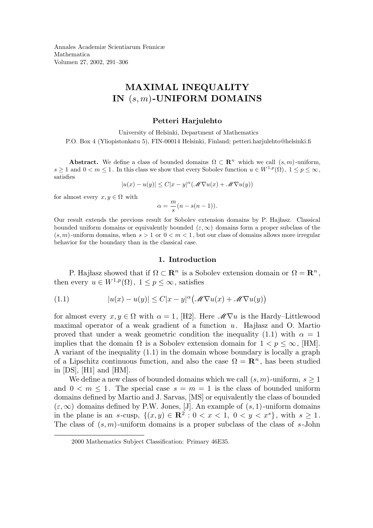Annales Academiæ Scientiarum Fennicæ Mathematica Volumen 27, 2002, 291–306

# MAXIMAL INEQUALITY IN  $(s, m)$ -UNIFORM DOMAINS

### Petteri Harjulehto

University of Helsinki, Department of Mathematics P.O. Box 4 (Yliopistonkatu 5), FIN-00014 Helsinki, Finland; petteri.harjulehto@helsinki.fi

**Abstract.** We define a class of bounded domains  $\Omega \subset \mathbb{R}^n$  which we call  $(s, m)$ -uniform,  $s \geq 1$  and  $0 < m \leq 1$ . In this class we show that every Sobolev function  $u \in W^{1,p}(\Omega)$ ,  $1 \leq p \leq \infty$ , satisfies

$$
|u(x) - u(y)| \le C|x - y|^{\alpha} (\mathcal{M} \nabla u(x) + \mathcal{M} \nabla u(y))
$$

for almost every  $x, y \in \Omega$  with

$$
\alpha = \frac{m}{s}(n - s(n - 1)).
$$

Our result extends the previous result for Sobolev extension domains by P. Hajłasz. Classical bounded uniform domains or equivalently bounded  $(\varepsilon,\infty)$  domains form a proper subclass of the  $(s, m)$ -uniform domains, when  $s > 1$  or  $0 < m < 1$ , but our class of domains allows more irregular behavior for the boundary than in the classical case.

## 1. Introduction

P. Hajłasz showed that if  $\Omega \subset \mathbb{R}^n$  is a Sobolev extension domain or  $\Omega = \mathbb{R}^n$ , then every  $u \in W^{1,p}(\Omega)$ ,  $1 \leq p \leq \infty$ , satisfies

(1.1) 
$$
|u(x) - u(y)| \leq C|x - y|^{\alpha} \big(\mathscr{M} \nabla u(x) + \mathscr{M} \nabla u(y)\big)
$$

for almost every  $x, y \in \Omega$  with  $\alpha = 1$ , [H2]. Here  $\mathscr{M} \nabla u$  is the Hardy–Littlewood maximal operator of a weak gradient of a function  $u$ . Hajlasz and O. Martio proved that under a weak geometric condition the inequality (1.1) with  $\alpha = 1$ implies that the domain  $\Omega$  is a Sobolev extension domain for  $1 < p \leq \infty$ , [HM]. A variant of the inequality (1.1) in the domain whose boundary is locally a graph of a Lipschitz continuous function, and also the case  $\Omega = \mathbb{R}^n$ , has been studied in [DS], [H1] and [HM].

We define a new class of bounded domains which we call  $(s, m)$ -uniform,  $s \geq 1$ and  $0 \leq m \leq 1$ . The special case  $s = m = 1$  is the class of bounded uniform domains defined by Martio and J. Sarvas, [MS] or equivalently the class of bounded  $(\varepsilon,\infty)$  domains defined by P.W. Jones, [J]. An example of  $(s,1)$ -uniform domains in the plane is an s-cusp,  $\{(x,y) \in \mathbb{R}^2 : 0 < x < 1, 0 < y < x^s\}$ , with  $s \ge 1$ . The class of  $(s, m)$ -uniform domains is a proper subclass of the class of s-John

<sup>2000</sup> Mathematics Subject Classification: Primary 46E35.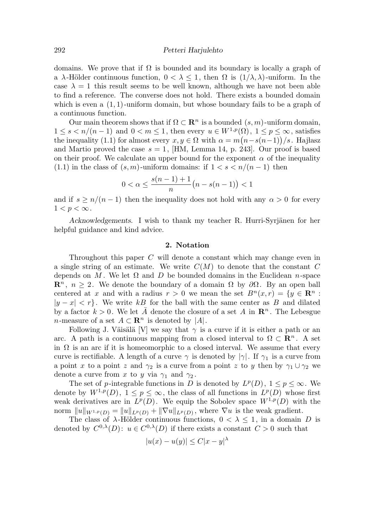domains. We prove that if  $\Omega$  is bounded and its boundary is locally a graph of a  $\lambda$ -Hölder continuous function,  $0 < \lambda \leq 1$ , then  $\Omega$  is  $(1/\lambda, \lambda)$ -uniform. In the case  $\lambda = 1$  this result seems to be well known, although we have not been able to find a reference. The converse does not hold. There exists a bounded domain which is even a  $(1, 1)$ -uniform domain, but whose boundary fails to be a graph of a continuous function.

Our main theorem shows that if  $\Omega \subset \mathbb{R}^n$  is a bounded  $(s, m)$ -uniform domain,  $1 \leq s < n/(n-1)$  and  $0 < m \leq 1$ , then every  $u \in W^{1,p}(\Omega)$ ,  $1 \leq p \leq \infty$ , satisfies the inequality (1.1) for almost every  $x, y \in \Omega$  with  $\alpha = m(n - s(n-1))/s$ . Hajlasz and Martio proved the case  $s = 1$ , [HM, Lemma 14, p. 243]. Our proof is based on their proof. We calculate an upper bound for the exponent  $\alpha$  of the inequality (1.1) in the class of  $(s, m)$ -uniform domains: if  $1 < s < n/(n-1)$  then

$$
0 < \alpha \le \frac{s(n-1)+1}{n} \big( n - s(n-1) \big) < 1
$$

and if  $s \geq n/(n-1)$  then the inequality does not hold with any  $\alpha > 0$  for every  $1 < p < \infty$ .

Acknowledgements. I wish to thank my teacher R. Hurri-Syrjänen for her helpful guidance and kind advice.

## 2. Notation

Throughout this paper C will denote a constant which may change even in a single string of an estimate. We write  $C(M)$  to denote that the constant C depends on M. We let  $\Omega$  and D be bounded domains in the Euclidean n-space  $\mathbb{R}^n$ ,  $n \geq 2$ . We denote the boundary of a domain  $\Omega$  by  $\partial \Omega$ . By an open ball centered at x and with a radius  $r > 0$  we mean the set  $B<sup>n</sup>(x,r) = \{y \in \mathbb{R}^n :$  $|y - x| < r$ . We write kB for the ball with the same center as B and dilated by a factor  $k > 0$ . We let  $\overline{A}$  denote the closure of a set A in  $\mathbb{R}^n$ . The Lebesgue n-measure of a set  $A \subset \mathbb{R}^n$  is denoted by |A|.

Following J. Väisälä [V] we say that  $\gamma$  is a curve if it is either a path or an arc. A path is a continuous mapping from a closed interval to  $\Omega \subset \mathbb{R}^n$ . A set in  $\Omega$  is an arc if it is homeomorphic to a closed interval. We assume that every curve is rectifiable. A length of a curve  $\gamma$  is denoted by  $|\gamma|$ . If  $\gamma_1$  is a curve from a point x to a point z and  $\gamma_2$  is a curve from a point z to y then by  $\gamma_1 \cup \gamma_2$  we denote a curve from x to y via  $\gamma_1$  and  $\gamma_2$ .

The set of p-integrable functions in D is denoted by  $L^p(D)$ ,  $1 \leq p \leq \infty$ . We denote by  $W^{1,p}(D)$ ,  $1 \leq p \leq \infty$ , the class of all functions in  $L^p(D)$  whose first weak derivatives are in  $L^p(D)$ . We equip the Sobolev space  $W^{1,p}(D)$  with the norm  $||u||_{W^{1,p}(D)} = ||u||_{L^p(D)} + ||\nabla u||_{L^p(D)}$ , where  $\nabla u$  is the weak gradient.

The class of  $\lambda$ -Hölder continuous functions,  $0 < \lambda \leq 1$ , in a domain D is denoted by  $C^{0,\lambda}(D)$ :  $u \in C^{0,\lambda}(D)$  if there exists a constant  $C > 0$  such that

$$
|u(x) - u(y)| \le C|x - y|^{\lambda}
$$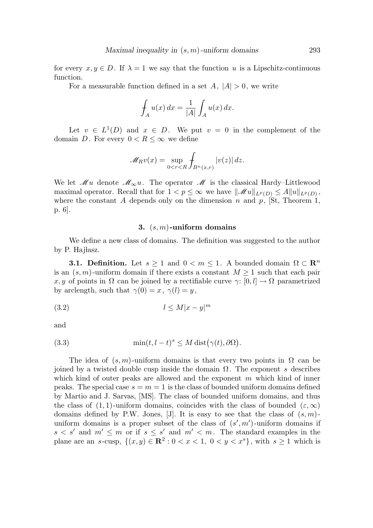for every  $x, y \in D$ . If  $\lambda = 1$  we say that the function u is a Lipschitz-continuous function.

For a measurable function defined in a set  $A, |A| > 0$ , we write

$$
\int_A u(x) dx = \frac{1}{|A|} \int_A u(x) dx.
$$

Let  $v \in L^1(D)$  and  $x \in D$ . We put  $v = 0$  in the complement of the domain D. For every  $0 < R \leq \infty$  we define

$$
\mathscr{M}_R v(x) = \sup_{0 < r < R} \int_{B^n(x,r)} |v(z)| \, dz.
$$

We let  $\mathcal{M}u$  denote  $\mathcal{M}_{\infty}u$ . The operator  $\mathcal{M}$  is the classical Hardy–Littlewood maximal operator. Recall that for  $1 < p \leq \infty$  we have  $||\mathcal{M}u||_{L^p(D)} \leq A||u||_{L^p(D)},$ where the constant A depends only on the dimension n and p, [St, Theorem 1, p. 6].

## 3.  $(s, m)$ -uniform domains

We define a new class of domains. The definition was suggested to the author by P. Hajłasz.

**3.1. Definition.** Let  $s \geq 1$  and  $0 < m \leq 1$ . A bounded domain  $\Omega \subset \mathbb{R}^n$ is an  $(s, m)$ -uniform domain if there exists a constant  $M \geq 1$  such that each pair x, y of points in  $\Omega$  can be joined by a rectifiable curve  $\gamma: [0, l] \to \Omega$  parametrized by arclength, such that  $\gamma(0) = x, \ \gamma(l) = y$ ,

$$
(3.2) \t\t\t l \le M|x-y|^m
$$

and

(3.3) 
$$
\min(t, l-t)^s \leq M \operatorname{dist}(\gamma(t), \partial \Omega).
$$

The idea of  $(s, m)$ -uniform domains is that every two points in  $\Omega$  can be joined by a twisted double cusp inside the domain Ω. The exponent s describes which kind of outer peaks are allowed and the exponent  $m$  which kind of inner peaks. The special case  $s = m = 1$  is the class of bounded uniform domains defined by Martio and J. Sarvas, [MS]. The class of bounded uniform domains, and thus the class of  $(1, 1)$ -uniform domains, coincides with the class of bounded  $(\varepsilon, \infty)$ domains defined by P.W. Jones, [J]. It is easy to see that the class of  $(s, m)$ uniform domains is a proper subset of the class of  $(s', m')$ -uniform domains if  $s < s'$  and  $m' \leq m$  or if  $s \leq s'$  and  $m' < m$ . The standard examples in the plane are an s-cusp,  $\{(x, y) \in \mathbb{R}^2 : 0 < x < 1, 0 < y < x^s\}$ , with  $s \ge 1$  which is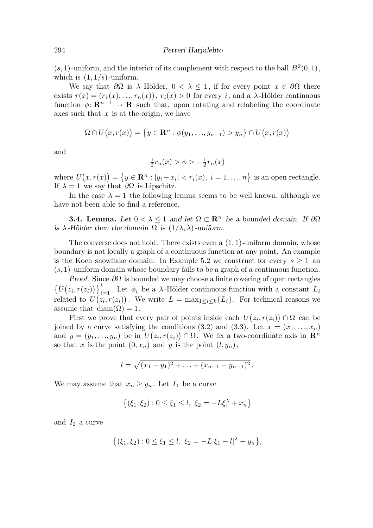$(s, 1)$ -uniform, and the interior of its complement with respect to the ball  $B<sup>2</sup>(0, 1)$ , which is  $(1, 1/s)$ -uniform.

We say that  $\partial\Omega$  is  $\lambda$ -Hölder,  $0 < \lambda < 1$ , if for every point  $x \in \partial\Omega$  there exists  $r(x) = (r_1(x), \ldots, r_n(x)), r_i(x) > 0$  for every i, and a  $\lambda$ -Hölder continuous function  $\phi: \mathbf{R}^{n-1} \to \mathbf{R}$  such that, upon rotating and relabeling the coordinate axes such that  $x$  is at the origin, we have

$$
\Omega \cap U(x,r(x)) = \{y \in \mathbf{R}^n : \phi(y_1,\ldots,y_{n-1}) > y_n\} \cap U(x,r(x))
$$

and

$$
\frac{1}{2}r_n(x) > \phi > -\frac{1}{2}r_n(x)
$$

where  $U(x, r(x)) = \{y \in \mathbb{R}^n : |y_i - x_i| < r_i(x), i = 1, \ldots, n\}$  is an open rectangle. If  $\lambda = 1$  we say that  $\partial \Omega$  is Lipschitz.

In the case  $\lambda = 1$  the following lemma seems to be well known, although we have not been able to find a reference.

**3.4. Lemma.** Let  $0 < \lambda < 1$  and let  $\Omega \subset \mathbb{R}^n$  be a bounded domain. If  $\partial \Omega$ is  $\lambda$ -Hölder then the domain  $\Omega$  is  $(1/\lambda, \lambda)$ -uniform.

The converse does not hold. There exists even a  $(1, 1)$ -uniform domain, whose boundary is not locally a graph of a continuous function at any point. An example is the Koch snowflake domain. In Example 5.2 we construct for every  $s \geq 1$  and  $(s, 1)$ -uniform domain whose boundary fails to be a graph of a continuous function.

Proof. Since  $\partial\Omega$  is bounded we may choose a finite covering of open rectangles  $\{U(z_i, r(z_i))\}_{i=1}^k$ . Let  $\phi_i$  be a  $\lambda$ -Hölder continuous function with a constant  $L_i$ related to  $U(z_i, r(z_i))$ . We write  $L = \max_{1 \leq i \leq k} \{L_i\}$ . For technical reasons we assume that diam( $\Omega$ ) = 1.

First we prove that every pair of points inside each  $U(z_i, r(z_i)) \cap \Omega$  can be joined by a curve satisfying the conditions (3.2) and (3.3). Let  $x = (x_1, \ldots, x_n)$ and  $y = (y_1, \ldots, y_n)$  be in  $U(z_i, r(z_i)) \cap \Omega$ . We fix a two-coordinate axis in  $\mathbb{R}^n$ so that x is the point  $(0, x_n)$  and y is the point  $(l, y_n)$ ,

$$
l = \sqrt{(x_1 - y_1)^2 + \ldots + (x_{n-1} - y_{n-1})^2}.
$$

We may assume that  $x_n \geq y_n$ . Let  $I_1$  be a curve

$$
\{(\xi_1, \xi_2) : 0 \le \xi_1 \le l, \ \xi_2 = -L\xi_1^{\lambda} + x_n\}
$$

and  $I_2$  a curve

$$
\{(\xi_1,\xi_2): 0 \le \xi_1 \le l, \ \xi_2 = -L|\xi_1 - l|^{\lambda} + y_n\},\
$$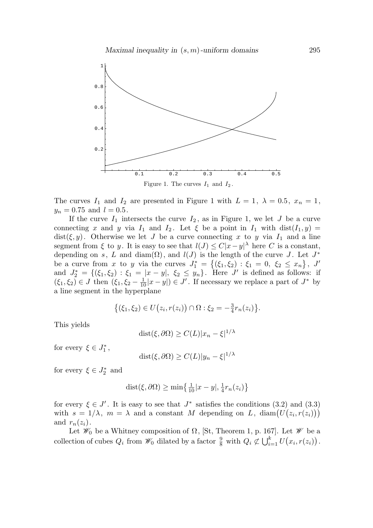

The curves  $I_1$  and  $I_2$  are presented in Figure 1 with  $L = 1, \lambda = 0.5, x_n = 1$ ,  $y_n = 0.75$  and  $l = 0.5$ .

If the curve  $I_1$  intersects the curve  $I_2$ , as in Figure 1, we let J be a curve connecting x and y via  $I_1$  and  $I_2$ . Let  $\xi$  be a point in  $I_1$  with  $dist(I_1, y) =$ dist( $\xi, y$ ). Otherwise we let J be a curve connecting x to y via  $I_1$  and a line segment from  $\xi$  to y. It is easy to see that  $l(J) \leq C|x-y|^{\lambda}$  here C is a constant, depending on s, L and diam( $\Omega$ ), and  $l(J)$  is the length of the curve J. Let  $J^*$ be a curve from x to y via the curves  $J_1^* = \{(\xi_1, \xi_2) : \xi_1 = 0, \xi_2 \le x_n\}, J'$ and  $J_2^* = \{(\xi_1, \xi_2) : \xi_1 = |x - y|, \xi_2 \le y_n\}$ . Here J' is defined as follows: if  $(\xi_1, \xi_2) \in J$  then  $(\xi_1, \xi_2 - \frac{1}{10}|x - y|) \in J'$ . If necessary we replace a part of  $J^*$  by a line segment in the hyperplane

$$
\{(\xi_1,\xi_2)\in U(z_i,r(z_i))\cap\Omega:\xi_2=-\frac{3}{4}r_n(z_i)\}.
$$

This yields

$$
dist(\xi, \partial \Omega) \ge C(L)|x_n - \xi|^{1/\lambda}
$$

for every  $\xi \in J_1^*$ ,

$$
dist(\xi, \partial \Omega) \ge C(L)|y_n - \xi|^{1/\lambda}
$$

for every  $\xi \in J_2^*$  and

$$
dist(\xi, \partial \Omega) \ge \min\left\{\frac{1}{10}|x - y|, \frac{1}{4}r_n(z_i)\right\}
$$

for every  $\xi \in J'$ . It is easy to see that  $J^*$  satisfies the conditions  $(3.2)$  and  $(3.3)$ with  $s = 1/\lambda$ ,  $m = \lambda$  and a constant M depending on L, diam $(U(z_i, r(z_i)))$ and  $r_n(z_i)$ .

Let  $\mathscr{W}_0$  be a Whitney composition of  $\Omega$ , [St, Theorem 1, p. 167]. Let  $\mathscr{W}$  be a collection of cubes  $Q_i$  from  $\mathscr{W}_0$  dilated by a factor  $\frac{9}{8}$  with  $Q_i \not\subset \bigcup_{i=1}^k U(x_i, r(z_i))$ .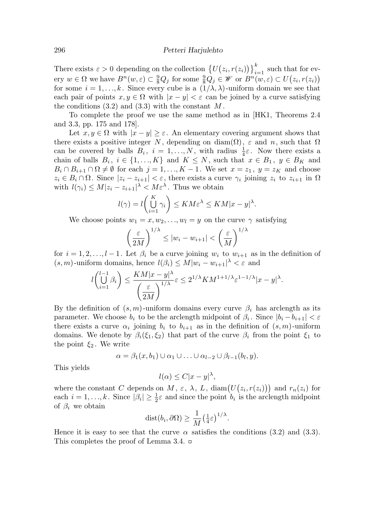There exists  $\varepsilon > 0$  depending on the collection  $\{U(z_i, r(z_i))\}_{i=1}^k$  such that for every  $w \in \Omega$  we have  $B^n(w, \varepsilon) \subset \frac{9}{8}Q_j$  for some  $\frac{9}{8}Q_j \in \mathscr{W}$  or  $B^n(w, \varepsilon) \subset U(z_i, r(z_i))$ for some  $i = 1, ..., k$ . Since every cube is a  $(1/\lambda, \lambda)$ -uniform domain we see that each pair of points  $x, y \in \Omega$  with  $|x - y| < \varepsilon$  can be joined by a curve satisfying the conditions  $(3.2)$  and  $(3.3)$  with the constant M.

To complete the proof we use the same method as in [HK1, Theorems 2.4 and 3.3, pp. 175 and 178].

Let  $x, y \in \Omega$  with  $|x - y| \ge \varepsilon$ . An elementary covering argument shows that there exists a positive integer N, depending on diam( $\Omega$ ),  $\varepsilon$  and n, such that  $\Omega$ can be covered by balls  $B_i$ ,  $i = 1, ..., N$ , with radius  $\frac{1}{4}\varepsilon$ . Now there exists a chain of balls  $B_i$ ,  $i \in \{1, ..., K\}$  and  $K \leq N$ , such that  $x \in B_1$ ,  $y \in B_K$  and  $B_i \cap B_{i+1} \cap \Omega \neq \emptyset$  for each  $j = 1, ..., K - 1$ . We set  $x = z_1, y = z_K$  and choose  $z_i \in B_i \cap \Omega$ . Since  $|z_i - z_{i+1}| < \varepsilon$ , there exists a curve  $\gamma_i$  joining  $z_i$  to  $z_{i+1}$  in  $\Omega$ with  $l(\gamma_i) \leq M |z_i - z_{i+1}|^{\lambda} < M \varepsilon^{\lambda}$ . Thus we obtain

$$
l(\gamma) = l\left(\bigcup_{i=1}^K \gamma_i\right) \le KM \varepsilon^{\lambda} \le KM |x - y|^{\lambda}.
$$

We choose points  $w_1 = x, w_2, \ldots, w_l = y$  on the curve  $\gamma$  satisfying

$$
\left(\frac{\varepsilon}{2M}\right)^{1/\lambda} \le |w_i - w_{i+1}| < \left(\frac{\varepsilon}{M}\right)^{1/\lambda}
$$

for  $i = 1, 2, \ldots, l - 1$ . Let  $\beta_i$  be a curve joining  $w_i$  to  $w_{i+1}$  as in the definition of  $(s, m)$ -uniform domains, hence  $l(\beta_i) \leq M |w_i - w_{i+1}|^{\lambda} < \varepsilon$  and

$$
l\binom{l-1}{i=1}\beta_i\bigg)\leq \frac{KM|x-y|^\lambda}{\left(\frac{\varepsilon}{2M}\right)^{1/\lambda}}\varepsilon\leq 2^{1/\lambda}KM^{1+1/\lambda}\varepsilon^{1-1/\lambda}|x-y|^\lambda.
$$

By the definition of  $(s, m)$ -uniform domains every curve  $\beta_i$  has arclength as its parameter. We choose  $b_i$  to be the arclength midpoint of  $\beta_i$ . Since  $|b_i - b_{i+1}| < \varepsilon$ there exists a curve  $\alpha_i$  joining  $b_i$  to  $b_{i+1}$  as in the definition of  $(s, m)$ -uniform domains. We denote by  $\beta_i(\xi_1,\xi_2)$  that part of the curve  $\beta_i$  from the point  $\xi_1$  to the point  $\xi_2$ . We write

$$
\alpha = \beta_1(x, b_1) \cup \alpha_1 \cup \ldots \cup \alpha_{l-2} \cup \beta_{l-1}(b_l, y).
$$

This yields

$$
l(\alpha) \le C|x - y|^{\lambda},
$$

where the constant C depends on M,  $\varepsilon$ ,  $\lambda$ , L,  $\text{diam}(U(z_i, r(z_i)))$  and  $r_n(z_i)$  for each  $i = 1, ..., k$ . Since  $|\beta_i| \geq \frac{1}{2}$  $\frac{1}{2}\varepsilon$  and since the point  $b_i$  is the arclength midpoint of  $\beta_i$  we obtain

$$
dist(b_i, \partial \Omega) \ge \frac{1}{M} \left(\frac{1}{4}\varepsilon\right)^{1/\lambda}
$$

.

Hence it is easy to see that the curve  $\alpha$  satisfies the conditions (3.2) and (3.3). This completes the proof of Lemma 3.4.  $\Box$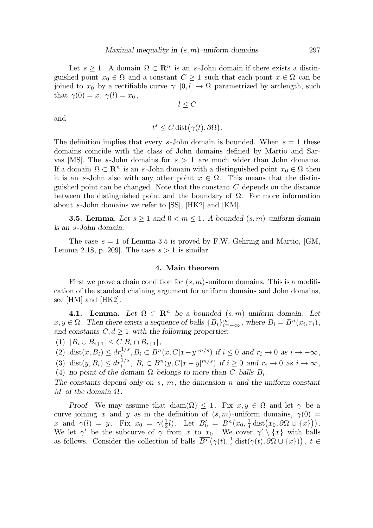Let  $s \geq 1$ . A domain  $\Omega \subset \mathbb{R}^n$  is an s-John domain if there exists a distinguished point  $x_0 \in \Omega$  and a constant  $C \geq 1$  such that each point  $x \in \Omega$  can be joined to  $x_0$  by a rectifiable curve  $\gamma: [0, l] \to \Omega$  parametrized by arclength, such that  $\gamma(0) = x, \gamma(l) = x_0$ ,

 $l \leq C$ 

and

$$
t^s \le C \operatorname{dist}(\gamma(t), \partial \Omega).
$$

The definition implies that every s-John domain is bounded. When  $s = 1$  these domains coincide with the class of John domains defined by Martio and Sarvas [MS]. The s-John domains for  $s > 1$  are much wider than John domains. If a domain  $\Omega \subset \mathbb{R}^n$  is an s-John domain with a distinguished point  $x_0 \in \Omega$  then it is an s-John also with any other point  $x \in \Omega$ . This means that the distinguished point can be changed. Note that the constant  $C$  depends on the distance between the distinguished point and the boundary of  $\Omega$ . For more information about s-John domains we refer to [SS], [HK2] and [KM].

**3.5. Lemma.** Let  $s \geq 1$  and  $0 < m \leq 1$ . A bounded  $(s, m)$ -uniform domain is an s-John domain.

The case  $s = 1$  of Lemma 3.5 is proved by F.W. Gehring and Martio, [GM, Lemma 2.18, p. 209. The case  $s > 1$  is similar.

#### 4. Main theorem

First we prove a chain condition for  $(s, m)$ -uniform domains. This is a modification of the standard chaining argument for uniform domains and John domains, see [HM] and [HK2].

4.1. Lemma. Let  $\Omega \subset \mathbb{R}^n$  be a bounded  $(s, m)$ -uniform domain. Let  $x, y \in \Omega$ . Then there exists a sequence of balls  ${B_i}_{i=-\infty}^{\infty}$ , where  $B_i = B^n(x_i, r_i)$ , and constants  $C, d \geq 1$  with the following properties:

(1)  $|B_i \cup B_{i+1}| \leq C |B_i \cap B_{i+1}|$ ,

(2) dist $(x, B_i) \leq dr_i^{1/s}, B_i \subset B^n(x, C|x-y|^{m/s})$  if  $i \leq 0$  and  $r_i \to 0$  as  $i \to -\infty$ ,

(3) dist $(y, B_i) \leq dr_i^{1/s}, B_i \subset B^n(y, C|x-y|^{m/s})$  if  $i \geq 0$  and  $r_i \to 0$  as  $i \to \infty$ ,

(4) no point of the domain  $\Omega$  belongs to more than C balls  $B_i$ .

The constants depend only on  $s, m$ , the dimension n and the uniform constant M of the domain  $\Omega$ .

Proof. We may assume that  $\text{diam}(\Omega) \leq 1$ . Fix  $x, y \in \Omega$  and let  $\gamma$  be a curve joining x and y as in the definition of  $(s, m)$ -uniform domains,  $\gamma(0)$  = x and  $\gamma(l) = y$ . Fix  $x_0 = \gamma(\frac{1}{2})$  $(\frac{1}{2}l)$ . Let  $B'_0 = B^n(x_0, \frac{1}{4})$  $\frac{1}{4} \operatorname{dist}(x_0, \partial \Omega \cup \{x\})\big).$ We let  $\gamma'$  be the subcurve of  $\gamma$  from x to  $x_0$ . We cover  $\gamma' \setminus \{x\}$  with balls as follows. Consider the collection of balls  $\overline{B^n}(\gamma(t), \frac{1}{4})$  $\frac{1}{4} \operatorname{dist}(\gamma(t), \partial \Omega \cup \{x\})\big), t \in$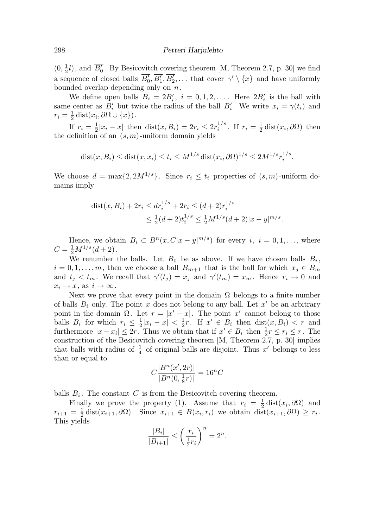$(0, \frac{1}{2})$  $\frac{1}{2}l$ , and  $B'_0$ . By Besicovitch covering theorem [M, Theorem 2.7, p. 30] we find a sequence of closed balls  $B'_0, B'_1, B'_2, \ldots$  that cover  $\gamma' \setminus \{x\}$  and have uniformly bounded overlap depending only on  $n$ .

We define open balls  $B_i = 2B'_i$ ,  $i = 0, 1, 2, \ldots$ . Here  $2B'_i$  is the ball with same center as  $B'_i$  but twice the radius of the ball  $B'_i$ . We write  $x_i = \gamma(t_i)$  and  $r_i = \frac{1}{2}$  $\frac{1}{2}\operatorname{dist}(x_i,\partial\Omega\cup\{x\})$ .

If  $r_i = \frac{1}{2}$  $\frac{1}{2}|x_i - x|$  then  $dist(x, B_i) = 2r_i \leq 2r_i^{1/s}$  $i^{1/s}$ . If  $r_i = \frac{1}{2}$  $\frac{1}{2}$  dist $(x_i, \partial \Omega)$  then the definition of an  $(s, m)$ -uniform domain yields

dist
$$
(x, B_i)
$$
  $\leq$  dist $(x, x_i) \leq t_i \leq M^{1/s}$  dist $(x_i, \partial \Omega)^{1/s} \leq 2M^{1/s}r_i^{1/s}$ .

We choose  $d = \max\{2, 2M^{1/s}\}\$ . Since  $r_i \leq t_i$  properties of  $(s, m)$ -uniform domains imply

dist
$$
(x, B_i)
$$
 +  $2r_i \le dr_i^{1/s}$  +  $2r_i \le (d+2)r_i^{1/s}$   
 $\le \frac{1}{2}(d+2)t_i^{1/s} \le \frac{1}{2}M^{1/s}(d+2)|x-y|^{m/s}$ .

Hence, we obtain  $B_i \subset B^n(x, C|x-y|^{m/s})$  for every  $i, i = 0, 1, \ldots$ , where  $C = \frac{1}{2}M^{1/s}(d+2)$ .

We renumber the balls. Let  $B_0$  be as above. If we have chosen balls  $B_i$ ,  $i = 0, 1, \ldots, m$ , then we choose a ball  $B_{m+1}$  that is the ball for which  $x_j \in B_m$ and  $t_j < t_m$ . We recall that  $\gamma'(t_j) = x_j$  and  $\gamma'(t_m) = x_m$ . Hence  $r_i \to 0$  and  $x_i \to x$ , as  $i \to \infty$ .

Next we prove that every point in the domain  $\Omega$  belongs to a finite number of balls  $B_i$  only. The point x does not belong to any ball. Let  $x'$  be an arbitrary point in the domain  $\Omega$ . Let  $r = |x' - x|$ . The point x' cannot belong to those balls  $B_i$  for which  $r_i \leq \frac{1}{2}$  $\frac{1}{2}|x_i - x| < \frac{1}{2}$  $\frac{1}{2}r$ . If  $x' \in B_i$  then  $dist(x, B_i) < r$  and furthermore  $|x-x_i| \leq 2r$ . Thus we obtain that if  $x' \in B_i$  then  $\frac{1}{2}r \leq r_i \leq r$ . The construction of the Besicovitch covering theorem  $[M,$  Theorem  $2.7, p.$  30] implies that balls with radius of  $\frac{1}{4}$  of original balls are disjoint. Thus x' belongs to less than or equal to

$$
C\frac{|B^n(x', 2r)|}{|B^n(0, \frac{1}{8}r)|} = 16^nC
$$

balls  $B_i$ . The constant C is from the Besicovitch covering theorem.

Finally we prove the property (1). Assume that  $r_i = \frac{1}{2}$  $\frac{1}{2}$  dist $(x_i, \partial\Omega)$  and  $r_{i+1} = \frac{1}{2}$  $\frac{1}{2}$  dist $(x_{i+1}, \partial \Omega)$ . Since  $x_{i+1} \in B(x_i, r_i)$  we obtain dist $(x_{i+1}, \partial \Omega) \geq r_i$ . This yields

$$
\frac{|B_i|}{|B_{i+1}|} \le \left(\frac{r_i}{\frac{1}{2}r_i}\right)^n = 2^n.
$$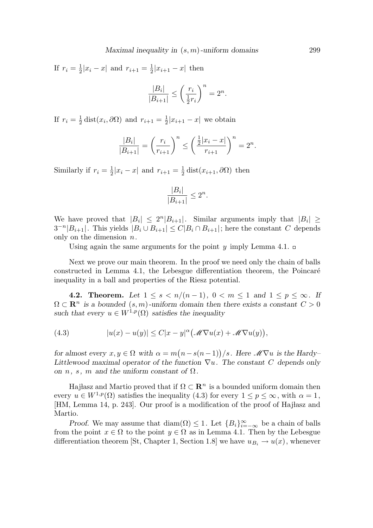If  $r_i = \frac{1}{2}$  $\frac{1}{2}|x_i - x|$  and  $r_{i+1} = \frac{1}{2}$  $\frac{1}{2}|x_{i+1}-x|$  then  $|B_i|$  $\overline{|B_{i+1}|} \leq$  $\int r_i$ 1  $rac{1}{2}r_i$  $\setminus^n$  $= 2^n$ .

If  $r_i = \frac{1}{2}$  $\frac{1}{2}$  dist $(x_i, \partial \Omega)$  and  $r_{i+1} = \frac{1}{2}$  $\frac{1}{2}|x_{i+1}-x|$  we obtain

$$
\frac{|B_i|}{|B_{i+1}|} = \left(\frac{r_i}{r_{i+1}}\right)^n \le \left(\frac{\frac{1}{2}|x_i - x|}{r_{i+1}}\right)^n = 2^n.
$$

Similarly if  $r_i = \frac{1}{2}$  $\frac{1}{2}|x_i - x|$  and  $r_{i+1} = \frac{1}{2}$  $\frac{1}{2}$  dist $(x_{i+1}, \partial \Omega)$  then

$$
\frac{|B_i|}{|B_{i+1}|}\leq 2^n
$$

.

We have proved that  $|B_i| \leq 2^n |B_{i+1}|$ . Similar arguments imply that  $|B_i| \geq$  $3^{-n}|B_{i+1}|$ . This yields  $|B_i \cup B_{i+1}| \le C|B_i \cap B_{i+1}|$ ; here the constant C depends only on the dimension  $n$ .

Using again the same arguments for the point y imply Lemma 4.1.  $\Box$ 

Next we prove our main theorem. In the proof we need only the chain of balls constructed in Lemma 4.1, the Lebesgue differentiation theorem, the Poincaré inequality in a ball and properties of the Riesz potential.

4.2. Theorem. Let  $1 \leq s < n/(n-1)$ ,  $0 < m \leq 1$  and  $1 \leq p \leq \infty$ . If  $\Omega \subset \mathbb{R}^n$  is a bounded  $(s, m)$ -uniform domain then there exists a constant  $C > 0$ such that every  $u \in W^{1,p}(\Omega)$  satisfies the inequality

(4.3) 
$$
|u(x) - u(y)| \leq C|x - y|^{\alpha} \big(\mathscr{M} \nabla u(x) + \mathscr{M} \nabla u(y)\big),
$$

for almost every  $x, y \in \Omega$  with  $\alpha = m(n - s(n-1))/s$ . Here  $\mathcal{M} \nabla u$  is the Hardy-Littlewood maximal operator of the function  $\nabla u$ . The constant C depends only on n, s, m and the uniform constant of  $\Omega$ .

Hajłasz and Martio proved that if  $\Omega \subset \mathbb{R}^n$  is a bounded uniform domain then every  $u \in W^{1,p}(\Omega)$  satisfies the inequality (4.3) for every  $1 \le p \le \infty$ , with  $\alpha = 1$ , [HM, Lemma 14, p. 243]. Our proof is a modification of the proof of Hajłasz and Martio.

Proof. We may assume that diam( $\Omega$ )  $\leq 1$ . Let  $\{B_i\}_{i=-\infty}^{\infty}$  be a chain of balls from the point  $x \in \Omega$  to the point  $y \in \Omega$  as in Lemma 4.1. Then by the Lebesgue differentiation theorem [St, Chapter 1, Section 1.8] we have  $u_{B_i} \to u(x)$ , whenever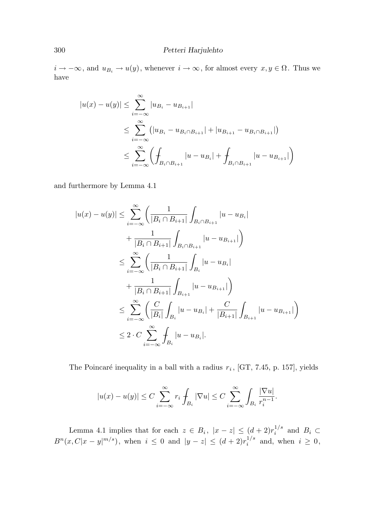$i \to -\infty$ , and  $u_{B_i} \to u(y)$ , whenever  $i \to \infty$ , for almost every  $x, y \in \Omega$ . Thus we have

$$
|u(x) - u(y)| \le \sum_{i=-\infty}^{\infty} |u_{B_i} - u_{B_{i+1}}|
$$
  

$$
\le \sum_{i=-\infty}^{\infty} (|u_{B_i} - u_{B_i \cap B_{i+1}}| + |u_{B_{i+1}} - u_{B_i \cap B_{i+1}}|)
$$
  

$$
\le \sum_{i=-\infty}^{\infty} (\int_{B_i \cap B_{i+1}} |u - u_{B_i}| + \int_{B_i \cap B_{i+1}} |u - u_{B_{i+1}}|)
$$

and furthermore by Lemma 4.1

$$
|u(x) - u(y)| \leq \sum_{i=-\infty}^{\infty} \left( \frac{1}{|B_i \cap B_{i+1}|} \int_{B_i \cap B_{i+1}} |u - u_{B_i}| + \frac{1}{|B_i \cap B_{i+1}|} \int_{B_i \cap B_{i+1}} |u - u_{B_{i+1}}| \right) \leq \sum_{i=-\infty}^{\infty} \left( \frac{1}{|B_i \cap B_{i+1}|} \int_{B_i} |u - u_{B_i}| + \frac{1}{|B_i \cap B_{i+1}|} \int_{B_{i+1}} |u - u_{B_{i+1}}| \right) \leq \sum_{i=-\infty}^{\infty} \left( \frac{C}{|B_i|} \int_{B_i} |u - u_{B_i}| + \frac{C}{|B_{i+1}|} \int_{B_{i+1}} |u - u_{B_{i+1}}| \right) \leq 2 \cdot C \sum_{i=-\infty}^{\infty} \int_{B_i} |u - u_{B_i}|.
$$

The Poincaré inequality in a ball with a radius  $r_i$ , [GT, 7.45, p. 157], yields

$$
|u(x) - u(y)| \le C \sum_{i=-\infty}^{\infty} r_i \int_{B_i} |\nabla u| \le C \sum_{i=-\infty}^{\infty} \int_{B_i} \frac{|\nabla u|}{r_i^{n-1}}.
$$

Lemma 4.1 implies that for each  $z \in B_i$ ,  $|x - z| \leq (d + 2)r_i^{1/s}$  $i^{1/3}$  and  $B_i \subset$  $B^{n}(x, C|x-y|^{m/s}),$  when  $i \leq 0$  and  $|y-z| \leq (d+2)r_i^{1/s}$  $i^{1/5}$  and, when  $i \geq 0$ ,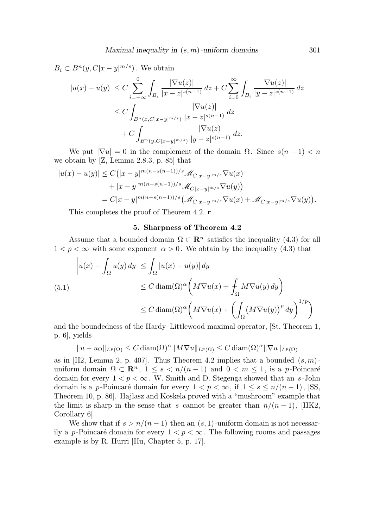$$
B_i \subset B^n(y, C|x-y|^{m/s}).
$$
 We obtain  
\n
$$
|u(x) - u(y)| \le C \sum_{i=-\infty}^0 \int_{B_i} \frac{|\nabla u(z)|}{|x - z|^{s(n-1)}} dz + C \sum_{i=0}^\infty \int_{B_i} \frac{|\nabla u(z)|}{|y - z|^{s(n-1)}} dz
$$
\n
$$
\le C \int_{B^n(x, C|x-y|^{m/s})} \frac{|\nabla u(z)|}{|x - z|^{s(n-1)}} dz + C \int_{B^n(y, C|x-y|^{m/s})} \frac{|\nabla u(z)|}{|y - z|^{s(n-1)}} dz.
$$

We put  $|\nabla u| = 0$  in the complement of the domain  $\Omega$ . Since  $s(n-1) < n$ we obtain by [Z, Lemma 2.8.3, p. 85] that

$$
|u(x) - u(y)| \le C(|x - y|^{m(n - s(n-1))/s} \mathcal{M}_{C|x - y|^{m/s}} \nabla u(x)
$$
  
+ 
$$
|x - y|^{m(n - s(n-1))/s} \mathcal{M}_{C|x - y|^{m/s}} \nabla u(y))
$$
  
= 
$$
C|x - y|^{m(n - s(n-1))/s} (\mathcal{M}_{C|x - y|^{m/s}} \nabla u(x) + \mathcal{M}_{C|x - y|^{m/s}} \nabla u(y)).
$$

This completes the proof of Theorem 4.2.  $\Box$ 

#### 5. Sharpness of Theorem 4.2

Assume that a bounded domain  $\Omega \subset \mathbb{R}^n$  satisfies the inequality (4.3) for all  $1 < p < \infty$  with some exponent  $\alpha > 0$ . We obtain by the inequality (4.3) that

$$
\left| u(x) - \int_{\Omega} u(y) dy \right| \leq \int_{\Omega} |u(x) - u(y)| dy
$$
  
\n
$$
\leq C \operatorname{diam}(\Omega)^{\alpha} \left( M \nabla u(x) + \int_{\Omega} M \nabla u(y) dy \right)
$$
  
\n
$$
\leq C \operatorname{diam}(\Omega)^{\alpha} \left( M \nabla u(x) + \left( \int_{\Omega} \left( M \nabla u(y) \right)^p dy \right)^{1/p} \right)
$$

and the boundedness of the Hardy–Littlewood maximal operator, [St, Theorem 1, p. 6], yields

 $||u - u_{\Omega}||_{L^p(\Omega)} \leq C \operatorname{diam}(\Omega)^\alpha ||M \nabla u||_{L^p(\Omega)} \leq C \operatorname{diam}(\Omega)^\alpha ||\nabla u||_{L^p(\Omega)}$ 

as in [H2, Lemma 2, p. 407]. Thus Theorem 4.2 implies that a bounded  $(s, m)$ uniform domain  $\Omega \subset \mathbb{R}^n$ ,  $1 \leq s < n/(n-1)$  and  $0 < m \leq 1$ , is a p-Poincaré domain for every  $1 < p < \infty$ . W. Smith and D. Stegenga showed that an s-John domain is a *p*-Poincaré domain for every  $1 < p < \infty$ , if  $1 \le s \le n/(n-1)$ , [SS, Theorem 10, p. 86. Hajłasz and Koskela proved with a "mushroom" example that the limit is sharp in the sense that s cannot be greater than  $n/(n-1)$ , [HK2, Corollary 6].

We show that if  $s > n/(n-1)$  then an  $(s, 1)$ -uniform domain is not necessarily a *p*-Poincaré domain for every  $1 < p < \infty$ . The following rooms and passages example is by R. Hurri [Hu, Chapter 5, p. 17].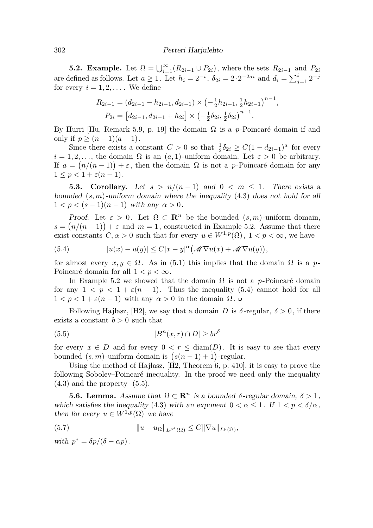**5.2. Example.** Let  $\Omega = \bigcup_{i=1}^{\infty} (R_{2i-1} \cup P_{2i})$ , where the sets  $R_{2i-1}$  and  $P_{2i}$ are defined as follows. Let  $a \geq 1$ . Let  $h_i = 2^{-i}$ ,  $\delta_{2i} = 2 \cdot 2^{-2ai}$  and  $d_i = \sum_{j=1}^{i} 2^{-j}$ for every  $i = 1, 2, \ldots$ . We define

$$
R_{2i-1} = (d_{2i-1} - h_{2i-1}, d_{2i-1}) \times \left(-\frac{1}{2}h_{2i-1}, \frac{1}{2}h_{2i-1}\right)^{n-1},
$$
  
\n
$$
P_{2i} = \left[d_{2i-1}, d_{2i-1} + h_{2i}\right] \times \left(-\frac{1}{2}\delta_{2i}, \frac{1}{2}\delta_{2i}\right)^{n-1}.
$$

By Hurri [Hu, Remark 5.9, p. 19] the domain  $\Omega$  is a p-Poincaré domain if and only if  $p \geq (n-1)(a-1)$ .

Since there exists a constant  $C > 0$  so that  $\frac{1}{2}\delta_{2i} \geq C(1 - d_{2i-1})^a$  for every  $i = 1, 2, \ldots$ , the domain  $\Omega$  is an  $(a, 1)$ -uniform domain. Let  $\varepsilon > 0$  be arbitrary. If  $a = (n/(n-1)) + \varepsilon$ , then the domain  $\Omega$  is not a p-Poincaré domain for any  $1 \leq p < 1 + \varepsilon (n-1).$ 

**5.3. Corollary.** Let  $s > n/(n-1)$  and  $0 < m \leq 1$ . There exists a bounded  $(s, m)$ -uniform domain where the inequality  $(4.3)$  does not hold for all  $1 < p < (s-1)(n-1)$  with any  $\alpha > 0$ .

Proof. Let  $\varepsilon > 0$ . Let  $\Omega \subset \mathbb{R}^n$  be the bounded  $(s, m)$ -uniform domain,  $s = (n/(n-1)) + \varepsilon$  and  $m = 1$ , constructed in Example 5.2. Assume that there exist constants  $C, \alpha > 0$  such that for every  $u \in W^{1,p}(\Omega)$ ,  $1 < p < \infty$ , we have

(5.4) 
$$
|u(x) - u(y)| \leq C|x - y|^{\alpha} \big(\mathscr{M} \nabla u(x) + \mathscr{M} \nabla u(y)\big),
$$

for almost every  $x, y \in \Omega$ . As in (5.1) this implies that the domain  $\Omega$  is a p-Poincaré domain for all  $1 < p < \infty$ .

In Example 5.2 we showed that the domain  $\Omega$  is not a p-Poincaré domain for any  $1 < p < 1 + \varepsilon(n-1)$ . Thus the inequality (5.4) cannot hold for all  $1 < p < 1 + \varepsilon(n-1)$  with any α > 0 in the domain  $Ω$ . □

Following Hajłasz, [H2], we say that a domain D is  $\delta$ -regular,  $\delta > 0$ , if there exists a constant  $b > 0$  such that

$$
(5.5) \t\t\t |Bn(x,r) \cap D| \ge br^{\delta}
$$

for every  $x \in D$  and for every  $0 < r < \text{diam}(D)$ . It is easy to see that every bounded  $(s, m)$ -uniform domain is  $(s(n - 1) + 1)$ -regular.

Using the method of Hajłasz,  $[H2,$  Theorem 6, p. 410, it is easy to prove the following Sobolev–Poincaré inequality. In the proof we need only the inequality  $(4.3)$  and the property  $(5.5)$ .

**5.6. Lemma.** Assume that  $\Omega \subset \mathbb{R}^n$  is a bounded  $\delta$ -regular domain,  $\delta > 1$ , which satisfies the inequality (4.3) with an exponent  $0 < \alpha \leq 1$ . If  $1 < p < \delta/\alpha$ , then for every  $u \in W^{1,p}(\Omega)$  we have

(5.7) 
$$
||u - u_{\Omega}||_{L^{p^*}(\Omega)} \leq C||\nabla u||_{L^p(\Omega)},
$$

with  $p^* = \delta p/(\delta - \alpha p)$ .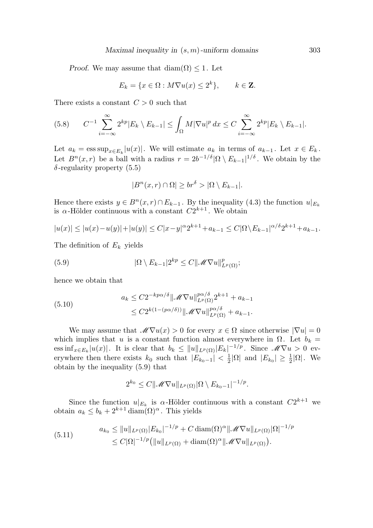*Proof.* We may assume that  $\text{diam}(\Omega) \leq 1$ . Let

$$
E_k = \{x \in \Omega : M\nabla u(x) \le 2^k\}, \qquad k \in \mathbf{Z}.
$$

There exists a constant  $C > 0$  such that

$$
(5.8) \qquad C^{-1} \sum_{i=-\infty}^{\infty} 2^{kp} |E_k \setminus E_{k-1}| \leq \int_{\Omega} M |\nabla u|^p \, dx \leq C \sum_{i=-\infty}^{\infty} 2^{kp} |E_k \setminus E_{k-1}|.
$$

Let  $a_k = \operatorname{ess} \operatorname{sup}_{x \in E_k} |u(x)|$ . We will estimate  $a_k$  in terms of  $a_{k-1}$ . Let  $x \in E_k$ . Let  $B^{n}(x,r)$  be a ball with a radius  $r = 2b^{-1/\delta} |\Omega \setminus E_{k-1}|^{1/\delta}$ . We obtain by the  $\delta$ -regularity property (5.5)

$$
|B^n(x,r)\cap\Omega|\geq br^{\delta}>|\Omega\setminus E_{k-1}|.
$$

Hence there exists  $y \in B^n(x,r) \cap E_{k-1}$ . By the inequality (4.3) the function  $u|_{E_k}$ is  $\alpha$ -Hölder continuous with a constant  $C2^{k+1}$ . We obtain

$$
|u(x)| \le |u(x) - u(y)| + |u(y)| \le C|x - y|^{\alpha} 2^{k+1} + a_{k-1} \le C|\Omega \setminus E_{k-1}|^{\alpha/\delta} 2^{k+1} + a_{k-1}.
$$

The definition of  $E_k$  yields

(5.9) 
$$
|\Omega \setminus E_{k-1}| 2^{kp} \leq C ||\mathcal{M} \nabla u||_{L^p(\Omega)}^p;
$$

hence we obtain that

(5.10) 
$$
a_k \leq C2^{-kp\alpha/\delta} \|\mathscr{M}\nabla u\|_{L^p(\Omega)}^{p\alpha/\delta} 2^{k+1} + a_{k-1} \leq C2^{k(1-(p\alpha/\delta))} \|\mathscr{M}\nabla u\|_{L^p(\Omega)}^{p\alpha/\delta} + a_{k-1}.
$$

We may assume that  $\mathscr{M}\nabla u(x) > 0$  for every  $x \in \Omega$  since otherwise  $|\nabla u| = 0$ which implies that u is a constant function almost everywhere in  $\Omega$ . Let  $b_k =$  $\text{ess inf}_{x \in E_k} |u(x)|$ . It is clear that  $b_k \leq ||u||_{L^p(\Omega)} |E_k|^{-1/p}$ . Since  $\mathscr{M} \nabla u > 0$  everywhere then there exists  $k_0$  such that  $|E_{k_0-1}| < \frac{1}{2}$  $\frac{1}{2}|\Omega|$  and  $|E_{k_0}|\geq \frac{1}{2}$  $\frac{1}{2}|\Omega|$ . We obtain by the inequality (5.9) that

$$
2^{k_0} \leq C ||\mathscr{M} \nabla u||_{L^p(\Omega)} |\Omega \setminus E_{k_0-1}|^{-1/p}.
$$

Since the function  $u|_{E_k}$  is  $\alpha$ -Hölder continuous with a constant  $C2^{k+1}$  we obtain  $a_k \leq b_k + 2^{k+1} \operatorname{diam}(\Omega)^\alpha$ . This yields

(5.11) 
$$
a_{k_0} \leq \|u\|_{L^p(\Omega)} |E_{k_0}|^{-1/p} + C \operatorname{diam}(\Omega)^\alpha \|\mathscr{M} \nabla u\|_{L^p(\Omega)} |\Omega|^{-1/p} \leq C |\Omega|^{-1/p} \big( \|u\|_{L^p(\Omega)} + \operatorname{diam}(\Omega)^\alpha \|\mathscr{M} \nabla u\|_{L^p(\Omega)} \big).
$$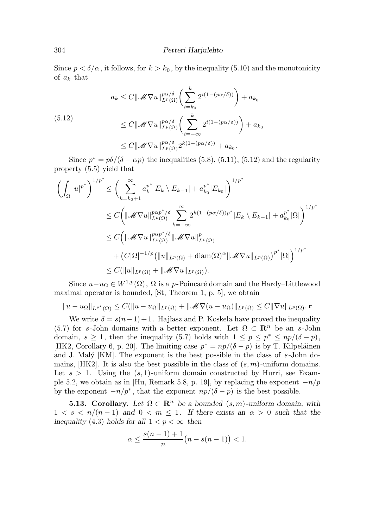Since  $p < \delta/\alpha$ , it follows, for  $k > k_0$ , by the inequality (5.10) and the monotonicity of  $a_k$  that

$$
a_k \leq C \|\mathcal{M}\nabla u\|_{L^p(\Omega)}^{p\alpha/\delta} \left(\sum_{i=k_0}^k 2^{i(1-(p\alpha/\delta))}\right) + a_{k_0}
$$
  
\n
$$
\leq C \|\mathcal{M}\nabla u\|_{L^p(\Omega)}^{p\alpha/\delta} \left(\sum_{i=-\infty}^k 2^{i(1-(p\alpha/\delta))}\right) + a_{k_0}
$$
  
\n
$$
\leq C \|\mathcal{M}\nabla u\|_{L^p(\Omega)}^{p\alpha/\delta} 2^{k(1-(p\alpha/\delta))} + a_{k_0}.
$$

Since  $p^* = p\delta/(\delta - \alpha p)$  the inequalities (5.8), (5.11), (5.12) and the regularity property (5.5) yield that

$$
\left(\int_{\Omega} |u|^{p^*}\right)^{1/p^*} \leq \left(\sum_{k=k_0+1}^{\infty} a_k^{p^*} |E_k \setminus E_{k-1}| + a_{k_0}^{p^*} |E_{k_0}|\right)^{1/p^*}
$$
  
\n
$$
\leq C \left(\|\mathcal{M} \nabla u\|_{L^p(\Omega)}^{p\alpha p^* / \delta} \sum_{k=-\infty}^{\infty} 2^{k(1-(p\alpha/\delta))p^*} |E_k \setminus E_{k-1}| + a_{k_0}^{p^*} |\Omega|\right)^{1/p^*}
$$
  
\n
$$
\leq C \left(\|\mathcal{M} \nabla u\|_{L^p(\Omega)}^{p\alpha p^* / \delta} \|\mathcal{M} \nabla u\|_{L^p(\Omega)}^p + (C|\Omega|^{-1/p} (\|u\|_{L^p(\Omega)} + \operatorname{diam}(\Omega)^{\alpha} \|\mathcal{M} \nabla u\|_{L^p(\Omega)})^{p^*} |\Omega|\right)^{1/p^*}
$$
  
\n
$$
\leq C (\|u\|_{L^p(\Omega)} + \|\mathcal{M} \nabla u\|_{L^p(\Omega)}).
$$

Since  $u-u_{\Omega} \in W^{1,p}(\Omega)$ ,  $\Omega$  is a p-Poincaré domain and the Hardy–Littlewood maximal operator is bounded, [St, Theorem 1, p. 5], we obtain

$$
||u - u_{\Omega}||_{L^{p^*}(\Omega)} \leq C(||u - u_{\Omega}||_{L^p(\Omega)} + ||\mathscr{M}\nabla(u - u_{\Omega})||_{L^p(\Omega)} \leq C||\nabla u||_{L^p(\Omega)}.
$$

We write  $\delta = s(n-1)+1$ . Hajlasz and P. Koskela have proved the inequality (5.7) for s-John domains with a better exponent. Let  $\Omega \subset \mathbb{R}^n$  be an s-John domain,  $s \geq 1$ , then the inequality (5.7) holds with  $1 \leq p \leq p^* \leq np/(\delta - p)$ , [HK2, Corollary 6, p. 20]. The limiting case  $p^* = np/(\delta - p)$  is by T. Kilpeläinen and J. Malý [KM]. The exponent is the best possible in the class of  $s$ -John domains,  $[HK2]$ . It is also the best possible in the class of  $(s, m)$ -uniform domains. Let  $s > 1$ . Using the  $(s, 1)$ -uniform domain constructed by Hurri, see Example 5.2, we obtain as in [Hu, Remark 5.8, p. 19], by replacing the exponent  $-n/p$ by the exponent  $-n/p^*$ , that the exponent  $np/(\delta - p)$  is the best possible.

**5.13. Corollary.** Let  $\Omega \subset \mathbb{R}^n$  be a bounded  $(s, m)$ -uniform domain, with  $1 < s < n/(n-1)$  and  $0 < m \le 1$ . If there exists an  $\alpha > 0$  such that the inequality (4.3) holds for all  $1 < p < \infty$  then

$$
\alpha \le \frac{s(n-1)+1}{n} (n - s(n-1)) < 1.
$$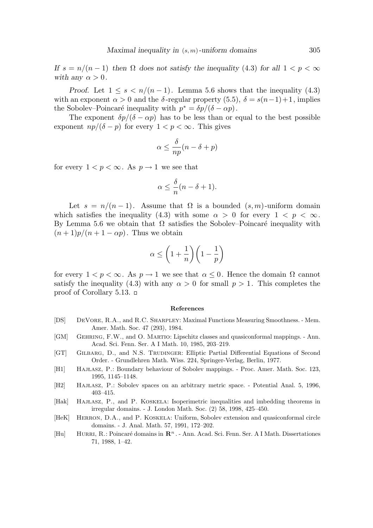If  $s = n/(n-1)$  then  $\Omega$  does not satisfy the inequality (4.3) for all  $1 < p < \infty$ with any  $\alpha > 0$ .

Proof. Let  $1 \leq s \leq n/(n-1)$ . Lemma 5.6 shows that the inequality (4.3) with an exponent  $\alpha > 0$  and the  $\delta$ -regular property (5.5),  $\delta = s(n-1)+1$ , implies the Sobolev–Poincaré inequality with  $p^* = \delta p/(\delta - \alpha p)$ .

The exponent  $\delta p/(\delta - \alpha p)$  has to be less than or equal to the best possible exponent  $np/(\delta - p)$  for every  $1 < p < \infty$ . This gives

$$
\alpha \leq \frac{\delta}{np}(n-\delta+p)
$$

for every  $1 < p < \infty$ . As  $p \to 1$  we see that

$$
\alpha \le \frac{\delta}{n}(n-\delta+1).
$$

Let  $s = n/(n-1)$ . Assume that  $\Omega$  is a bounded  $(s, m)$ -uniform domain which satisfies the inequality (4.3) with some  $\alpha > 0$  for every  $1 < p < \infty$ . By Lemma 5.6 we obtain that  $\Omega$  satisfies the Sobolev–Poincaré inequality with  $(n+1)p/(n+1-\alpha p)$ . Thus we obtain

$$
\alpha \le \bigg(1+\frac{1}{n}\bigg)\bigg(1-\frac{1}{p}\bigg)
$$

for every  $1 < p < \infty$ . As  $p \to 1$  we see that  $\alpha \leq 0$ . Hence the domain  $\Omega$  cannot satisfy the inequality (4.3) with any  $\alpha > 0$  for small  $p > 1$ . This completes the proof of Corollary 5.13.

#### References

- [DS] DeVore, R.A., and R.C. Sharpley: Maximal Functions Measuring Smoothness. Mem. Amer. Math. Soc. 47 (293), 1984.
- [GM] Gehring, F.W., and O. Martio: Lipschitz classes and quasiconformal mappings. Ann. Acad. Sci. Fenn. Ser. A I Math. 10, 1985, 203–219.
- [GT] GILBARG, D., and N.S. TRUDINGER: Elliptic Partial Differential Equations of Second Order. - Grundlehren Math. Wiss. 224, Springer-Verlag, Berlin, 1977.
- [H1] HajŁasz, P.: Boundary behaviour of Sobolev mappings. Proc. Amer. Math. Soc. 123, 1995, 1145–1148.
- [H2] HajŁasz, P.: Sobolev spaces on an arbitrary metric space. Potential Anal. 5, 1996, 403–415.
- [Hak] HAJŁASZ, P., and P. KOSKELA: Isoperimetric inequalities and imbedding theorems in irregular domains. - J. London Math. Soc. (2) 58, 1998, 425–450.
- [HeK] HERRON, D.A., and P. KOSKELA: Uniform, Sobolev extension and quasiconformal circle domains. - J. Anal. Math. 57, 1991, 172–202.
- [Hu] HURRI, R.: Poincaré domains in  $\mathbb{R}^n$ . Ann. Acad. Sci. Fenn. Ser. A I Math. Dissertationes 71, 1988, 1–42.